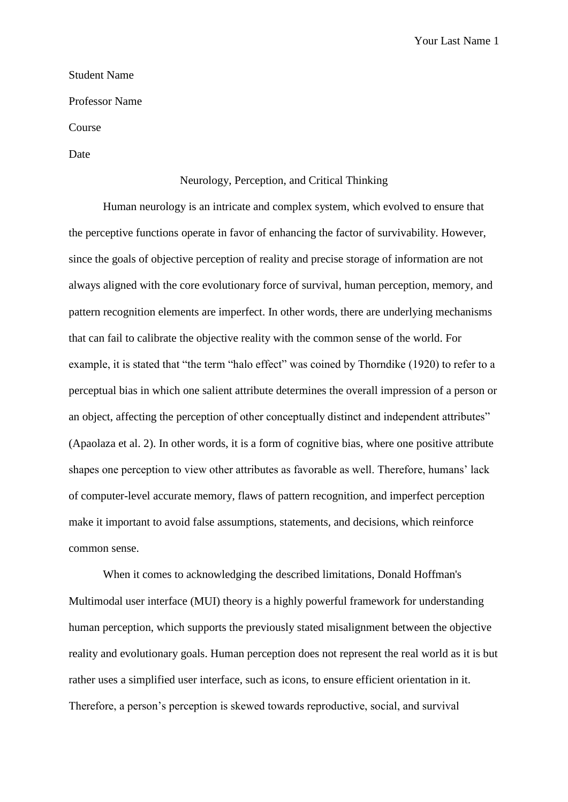Your Last Name 1

## Student Name

Professor Name

Course

Date

## Neurology, Perception, and Critical Thinking

Human neurology is an intricate and complex system, which evolved to ensure that the perceptive functions operate in favor of enhancing the factor of survivability. However, since the goals of objective perception of reality and precise storage of information are not always aligned with the core evolutionary force of survival, human perception, memory, and pattern recognition elements are imperfect. In other words, there are underlying mechanisms that can fail to calibrate the objective reality with the common sense of the world. For example, it is stated that "the term "halo effect" was coined by Thorndike (1920) to refer to a perceptual bias in which one salient attribute determines the overall impression of a person or an object, affecting the perception of other conceptually distinct and independent attributes" (Apaolaza et al. 2). In other words, it is a form of cognitive bias, where one positive attribute shapes one perception to view other attributes as favorable as well. Therefore, humans' lack of computer-level accurate memory, flaws of pattern recognition, and imperfect perception make it important to avoid false assumptions, statements, and decisions, which reinforce common sense.

When it comes to acknowledging the described limitations, Donald Hoffman's Multimodal user interface (MUI) theory is a highly powerful framework for understanding human perception, which supports the previously stated misalignment between the objective reality and evolutionary goals. Human perception does not represent the real world as it is but rather uses a simplified user interface, such as icons, to ensure efficient orientation in it. Therefore, a person's perception is skewed towards reproductive, social, and survival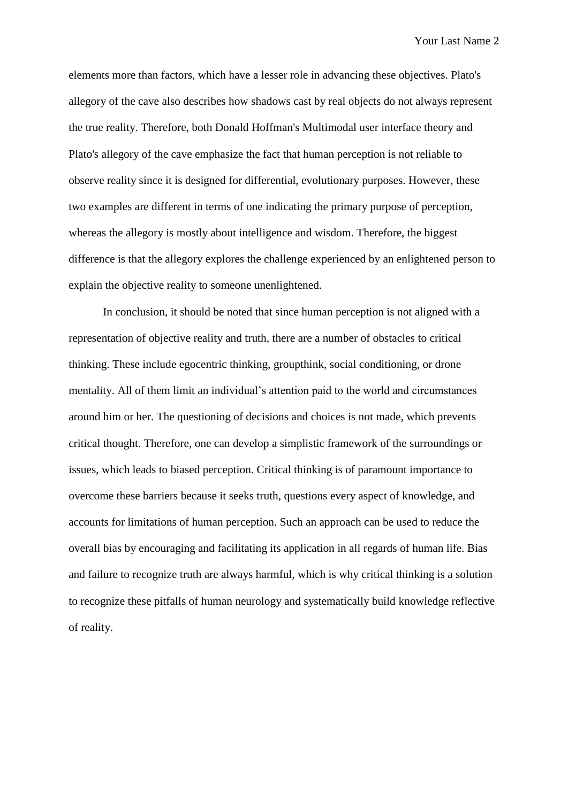Your Last Name 2

elements more than factors, which have a lesser role in advancing these objectives. Plato's allegory of the cave also describes how shadows cast by real objects do not always represent the true reality. Therefore, both Donald Hoffman's Multimodal user interface theory and Plato's allegory of the cave emphasize the fact that human perception is not reliable to observe reality since it is designed for differential, evolutionary purposes. However, these two examples are different in terms of one indicating the primary purpose of perception, whereas the allegory is mostly about intelligence and wisdom. Therefore, the biggest difference is that the allegory explores the challenge experienced by an enlightened person to explain the objective reality to someone unenlightened.

In conclusion, it should be noted that since human perception is not aligned with a representation of objective reality and truth, there are a number of obstacles to critical thinking. These include egocentric thinking, groupthink, social conditioning, or drone mentality. All of them limit an individual's attention paid to the world and circumstances around him or her. The questioning of decisions and choices is not made, which prevents critical thought. Therefore, one can develop a simplistic framework of the surroundings or issues, which leads to biased perception. Critical thinking is of paramount importance to overcome these barriers because it seeks truth, questions every aspect of knowledge, and accounts for limitations of human perception. Such an approach can be used to reduce the overall bias by encouraging and facilitating its application in all regards of human life. Bias and failure to recognize truth are always harmful, which is why critical thinking is a solution to recognize these pitfalls of human neurology and systematically build knowledge reflective of reality.